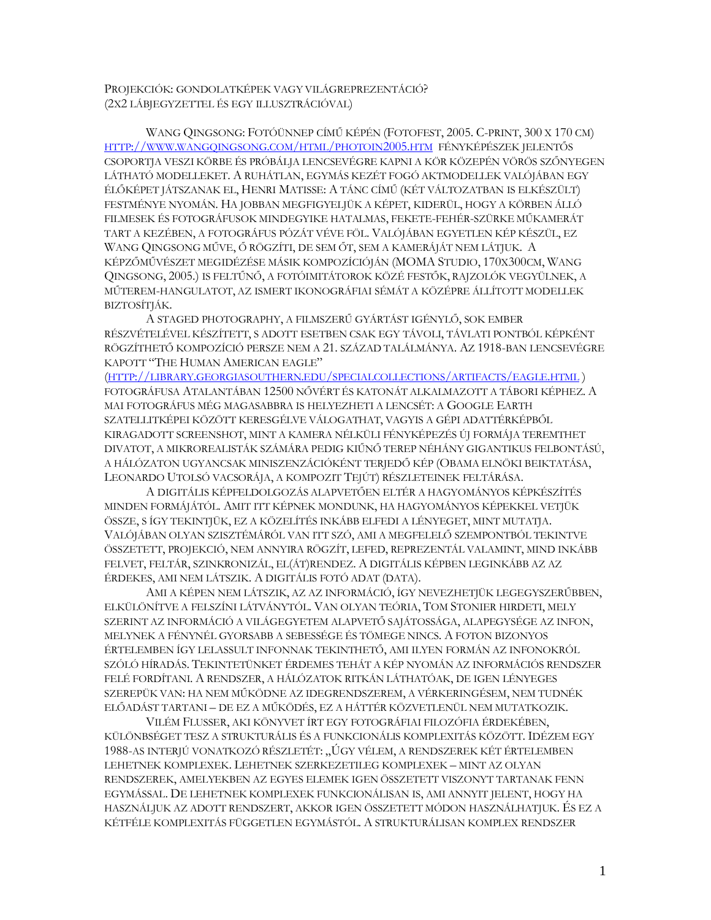PROJEKCIÓK: GONDOLATKÉPEK VAGY VILÁGREPREZENTÁCIÓ? (2X2 LÁBJEGYZETTEL ÉS EGY ILLUSZTRÁCIÓVAL)

WANG QINGSONG: FOTÓÜNNEP CÍMŰ KÉPÉN (FOTOFEST, 2005. C-PRINT, 300 X 170 CM) HTTP://WWW.WANGQINGSONG.COM/HTML/PHOTOIN2005.HTM FÉNYKÉPÉSZEK JELENTŐS CSOPORTJA VESZI KÖRBE ÉS PRÓBÁLJA LENCSEVÉGRE KAPNI A KÖR KÖZEPÉN VÖRÖS SZŐNYEGEN LÁTHATÓ MODELLEKET. A RUHÁTLAN, EGYMÁS KEZÉT FOGÓ AKTMODELLEK VALÓJÁBAN EGY ÉLŐKÉPET JÁTSZANAK EL, HENRI MATISSE: A TÁNC CÍMŰ (KÉT VÁLTOZATBAN IS ELKÉSZÜLT) FESTMÉNYE NYOMÁN. HA JOBBAN MEGFIGYELJÜK A KÉPET, KIDERÜL, HOGY A KÖRBEN ÁLLÓ FILMESEK ÉS FOTOGRÁFUSOK MINDEGYIKE HATALMAS, FEKETE-FEHÉR-SZÜRKE MŰKAMERÁT TART A KEZÉBEN, A FOTOGRÁFUS PÓZÁT VÉVE FÖL. VALÓJÁBAN EGYETLEN KÉP KÉSZÜL, EZ WANG QINGSONG MŰVE, Ő RÖGZÍTI, DE SEM ŐT, SEM A KAMERÁJÁT NEM LÁTJUK. A KÉPZŐMŰVÉSZET MEGIDÉZÉSE MÁSIK KOMPOZÍCIÓJÁN (MOMA STUDIO, 170X300CM, WANG QINGSONG, 2005.) IS FELTŰNŐ, A FOTÓIMITÁTOROK KÖZÉ FESTŐK, RAJZOLÓK VEGYÜLNEK, A MŰTEREM-HANGULATOT, AZ ISMERT IKONOGRÁFIAI SÉMÁT A KÖZÉPRE ÁLLÍTOTT MODELLEK BIZTOSÍTJÁK.

A STAGED PHOTOGRAPHY, A FILMSZERŰ GYÁRTÁST IGÉNYLŐ, SOK EMBER RÉSZVÉTELÉVEL KÉSZÍTETT, S ADOTT ESETBEN CSAK EGY TÁVOLI, TÁVLATI PONTBÓL KÉPKÉNT RÖGZÍTHETŐ KOMPOZÍCIÓ PERSZE NEM A 21. SZÁZAD TALÁLMÁNYA. AZ 1918-BAN LENCSEVÉGRE KAPOTT "THE HUMAN AMERICAN EAGLE"

(HTTP://LIBRARY.GEORGIASOUTHERN.EDU/SPECIALCOLLECTIONS/ARTIFACTS/EAGLE.HTML ) FOTOGRÁFUSA ATALANTÁBAN 12500 NŐVÉRT ÉS KATONÁT ALKALMAZOTT A TÁBORI KÉPHEZ. A MAI FOTOGRÁFUS MÉG MAGASABBRA IS HELYEZHETI A LENCSÉT: A GOOGLE EARTH SZATELLITKÉPEI KÖZÖTT KERESGÉLVE VÁLOGATHAT, VAGYIS A GÉPI ADATTÉRKÉPBŐL KIRAGADOTT SCREENSHOT, MINT A KAMERA NÉLKÜLI FÉNYKÉPEZÉS ÚJ FORMÁJA TEREMTHET DIVATOT, A MIKROREALISTÁK SZÁMÁRA PEDIG KIŰNŐ TEREP NÉHÁNY GIGANTIKUS FELBONTÁSÚ, A HÁLÓZATON UGYANCSAK MINISZENZÁCIÓKÉNT TERJEDŐ KÉP (OBAMA ELNÖKI BEIKTATÁSA, LEONARDO UTOLSÓ VACSORÁJA, A KOMPOZIT TEJÚT) RÉSZLETEINEK FELTÁRÁSA.

A DIGITÁLIS KÉPFELDOLGOZÁS ALAPVETŐEN ELTÉR A HAGYOMÁNYOS KÉPKÉSZÍTÉS MINDEN FORMÁJÁTÓL. AMIT ITT KÉPNEK MONDUNK, HA HAGYOMÁNYOS KÉPEKKEL VETJÜK ÖSSZE, S ÍGY TEKINTJÜK, EZ A KÖZELÍTÉS INKÁBB ELFEDI A LÉNYEGET, MINT MUTATJA. VALÓJÁBAN OLYAN SZISZTÉMÁRÓL VAN ITT SZÓ, AMI A MEGFELELŐ SZEMPONTBÓL TEKINTVE ÖSSZETETT, PROJEKCIÓ, NEM ANNYIRA RÖGZÍT, LEFED, REPREZENTÁL VALAMINT, MIND INKÁBB FELVET, FELTÁR, SZINKRONIZÁL, EL(ÁT)RENDEZ. A DIGITÁLIS KÉPBEN LEGINKÁBB AZ AZ ÉRDEKES, AMI NEM LÁTSZIK. A DIGITÁLIS FOTÓ ADAT (DATA).

AMI A KÉPEN NEM LÁTSZIK, AZ AZ INFORMÁCIÓ, ÍGY NEVEZHETJÜK LEGEGYSZERŰBBEN, ELKÜLÖNÍTVE A FELSZÍNI LÁTVÁNYTÓL. VAN OLYAN TEÓRIA, TOM STONIER HIRDETI, MELY SZERINT AZ INFORMÁCIÓ A VILÁGEGYETEM ALAPVETŐ SAJÁTOSSÁGA, ALAPEGYSÉGE AZ INFON, MELYNEK A FÉNYNÉL GYORSABB A SEBESSÉGE ÉS TÖMEGE NINCS. A FOTON BIZONYOS ÉRTELEMBEN ÍGY LELASSULT INFONNAK TEKINTHETŐ, AMI ILYEN FORMÁN AZ INFONOKRÓL SZÓLÓ HÍRADÁS. TEKINTETÜNKET ÉRDEMES TEHÁT A KÉP NYOMÁN AZ INFORMÁCIÓS RENDSZER FELÉ FORDÍTANI. A RENDSZER, A HÁLÓZATOK RITKÁN LÁTHATÓAK, DE IGEN LÉNYEGES SZEREPÜK VAN: HA NEM MŰKÖDNE AZ IDEGRENDSZEREM, A VÉRKERINGÉSEM, NEM TUDNÉK ELŐADÁST TARTANI – DE EZ A MŰKÖDÉS, EZ A HÁTTÉR KÖZVETLENÜL NEM MUTATKOZIK.

VILÉM FLUSSER, AKI KÖNYVET ÍRT EGY FOTOGRÁFIAI FILOZÓFIA ÉRDEKÉBEN, KÜLÖNBSÉGET TESZ A STRUKTURÁLIS ÉS A FUNKCIONÁLIS KOMPLEXITÁS KÖZÖTT. IDÉZEM EGY 1988-AS INTERJÚ VONATKOZÓ RÉSZLETÉT: "ÚGY VÉLEM, A RENDSZEREK KÉT ÉRTELEMBEN LEHETNEK KOMPLEXEK. LEHETNEK SZERKEZETILEG KOMPLEXEK – MINT AZ OLYAN RENDSZEREK, AMELYEKBEN AZ EGYES ELEMEK IGEN ÖSSZETETT VISZONYT TARTANAK FENN EGYMÁSSAL. DE LEHETNEK KOMPLEXEK FUNKCIONÁLISAN IS, AMI ANNYIT JELENT, HOGY HA HASZNÁLJUK AZ ADOTT RENDSZERT, AKKOR IGEN ÖSSZETETT MÓDON HASZNÁLHATJUK. ÉS EZ A KÉTFÉLE KOMPLEXITÁS FÜGGETLEN EGYMÁSTÓL. A STRUKTURÁLISAN KOMPLEX RENDSZER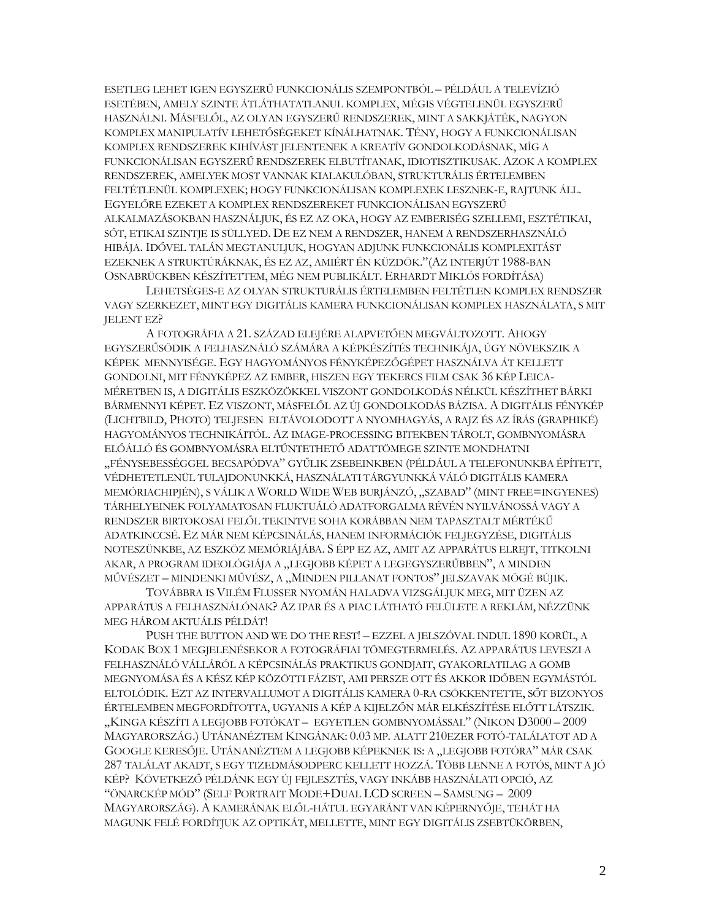ESETLEG LEHET IGEN EGYSZERŰ FUNKCIONÁLIS SZEMPONTBÓL – PÉLDÁUL A TELEVÍZIÓ ESETÉBEN, AMELY SZINTE ÁTLÁTHATATLANUL KOMPLEX, MÉGIS VÉGTELENÜL EGYSZERŰ HASZNÁLNI. MÁSFELŐL, AZ OLYAN EGYSZERŰ RENDSZEREK, MINT A SAKKJÁTÉK, NAGYON KOMPLEX MANIPULATÍV LEHETŐSÉGEKET KÍNÁLHATNAK. TÉNY, HOGY A FUNKCIONÁLISAN KOMPLEX RENDSZEREK KIHÍVÁST JELENTENEK A KREATÍV GONDOLKODÁSNAK, MÍG A FUNKCIONÁLISAN EGYSZERŰ RENDSZEREK ELBUTÍTANAK, IDIOTISZTIKUSAK. AZOK A KOMPLEX RENDSZEREK, AMELYEK MOST VANNAK KIALAKULÓBAN, STRUKTURÁLIS ÉRTELEMBEN FELTÉTLENÜL KOMPLEXEK; HOGY FUNKCIONÁLISAN KOMPLEXEK LESZNEK-E, RAJTUNK ÁLL. EGYELŐRE EZEKET A KOMPLEX RENDSZEREKET FUNKCIONÁLISAN EGYSZERŰ ALKALMAZÁSOKBAN HASZNÁLJUK, ÉS EZ AZ OKA, HOGY AZ EMBERISÉG SZELLEMI, ESZTÉTIKAI, SŐT, ETIKAI SZINTJE IS SÜLLYED. DE EZ NEM A RENDSZER, HANEM A RENDSZERHASZNÁLÓ HIBÁJA. IDŐVEL TALÁN MEGTANULJUK, HOGYAN ADJUNK FUNKCIONÁLIS KOMPLEXITÁST EZEKNEK A STRUKTÚRÁKNAK, ÉS EZ AZ, AMIÉRT ÉN KÜZDÖK."(AZ INTERJÚT 1988-BAN OSNABRÜCKBEN KÉSZÍTETTEM, MÉG NEM PUBLIKÁLT. ERHARDT MIKLÓS FORDÍTÁSA)

LEHETSÉGES-E AZ OLYAN STRUKTURÁLIS ÉRTELEMBEN FELTÉTLEN KOMPLEX RENDSZER VAGY SZERKEZET, MINT EGY DIGITÁLIS KAMERA FUNKCIONÁLISAN KOMPLEX HASZNÁLATA, S MIT JELENT EZ?

A FOTOGRÁFIA A 21. SZÁZAD ELEJÉRE ALAPVETŐEN MEGVÁLTOZOTT. AHOGY EGYSZERŰSÖDIK A FELHASZNÁLÓ SZÁMÁRA A KÉPKÉSZÍTÉS TECHNIKÁJA, ÚGY NÖVEKSZIK A KÉPEK MENNYISÉGE. EGY HAGYOMÁNYOS FÉNYKÉPEZŐGÉPET HASZNÁLVA ÁT KELLETT GONDOLNI, MIT FÉNYKÉPEZ AZ EMBER, HISZEN EGY TEKERCS FILM CSAK 36 KÉP LEICA-MÉRETBEN IS, A DIGITÁLIS ESZKÖZÖKKEL VISZONT GONDOLKODÁS NÉLKÜL KÉSZÍTHET BÁRKI BÁRMENNYI KÉPET. EZ VISZONT, MÁSFELŐL AZ ÚJ GONDOLKODÁS BÁZISA. A DIGITÁLIS FÉNYKÉP (LICHTBILD, PHOTO) TELJESEN ELTÁVOLODOTT A NYOMHAGYÁS, A RAJZ ÉS AZ ÍRÁS (GRAPHIKÉ) HAGYOMÁNYOS TECHNIKÁITÓL. AZ IMAGE-PROCESSING BITEKBEN TÁROLT, GOMBNYOMÁSRA ELŐÁLLÓ ÉS GOMBNYOMÁSRA ELTŰNTETHETŐ ADATTÖMEGE SZINTE MONDHATNI "FÉNYSEBESSÉGGEL BECSAPÓDVA" GYŰLIK ZSEBEINKBEN (PÉLDÁUL A TELEFONUNKBA ÉPÍTETT, VÉDHETETLENÜL TULAJDONUNKKÁ, HASZNÁLATI TÁRGYUNKKÁ VÁLÓ DIGITÁLIS KAMERA MEMÓRIACHIPJÉN), S VÁLIK A WORLD WIDE WEB BURJÁNZÓ, "SZABAD" (MINT FREE=INGYENES) TÁRHELYEINEK FOLYAMATOSAN FLUKTUÁLÓ ADATFORGALMA RÉVÉN NYILVÁNOSSÁ VAGY A RENDSZER BIRTOKOSAI FELŐL TEKINTVE SOHA KORÁBBAN NEM TAPASZTALT MÉRTÉKŰ ADATKINCCSÉ. EZ MÁR NEM KÉPCSINÁLÁS, HANEM INFORMÁCIÓK FELJEGYZÉSE, DIGITÁLIS NOTESZÜNKBE, AZ ESZKÖZ MEMÓRIÁJÁBA. S ÉPP EZ AZ, AMIT AZ APPARÁTUS ELREJT, TITKOLNI AKAR, A PROGRAM IDEOLÓGIÁJA A "LEGJOBB KÉPET A LEGEGYSZERŰBBEN", A MINDEN MŰVÉSZET – MINDENKI MŰVÉSZ, A "MINDEN PILLANAT FONTOS" JELSZAVAK MÖGÉ BÚJIK.

TOVÁBBRA IS VILÉM FLUSSER NYOMÁN HALADVA VIZSGÁLJUK MEG, MIT ÜZEN AZ APPARÁTUS A FELHASZNÁLÓNAK? AZ IPAR ÉS A PIAC LÁTHATÓ FELÜLETE A REKLÁM, NÉZZÜNK MEG HÁROM AKTUÁLIS PÉLDÁT!

PUSH THE BUTTON AND WE DO THE REST! – EZZEL A JELSZÓVAL INDUL 1890 KORÜL, A KODAK BOX 1 MEGJELENÉSEKOR A FOTOGRÁFIAI TÖMEGTERMELÉS. AZ APPARÁTUS LEVESZI A FELHASZNÁLÓ VÁLLÁRÓL A KÉPCSINÁLÁS PRAKTIKUS GONDJAIT, GYAKORLATILAG A GOMB MEGNYOMÁSA ÉS A KÉSZ KÉP KÖZÖTTI FÁZIST, AMI PERSZE OTT ÉS AKKOR IDŐBEN EGYMÁSTÓL ELTOLÓDIK. EZT AZ INTERVALLUMOT A DIGITÁLIS KAMERA 0-RA CSÖKKENTETTE, SŐT BIZONYOS ÉRTELEMBEN MEGFORDÍTOTTA, UGYANIS A KÉP A KIJELZŐN MÁR ELKÉSZÍTÉSE ELŐTT LÁTSZIK. "KINGA KÉSZÍTI A LEGJOBB FOTÓKAT – EGYETLEN GOMBNYOMÁSSAL" (NIKON D3000 – 2009 MAGYARORSZÁG.) UTÁNANÉZTEM KINGÁNAK: 0.03 MP. ALATT 210EZER FOTÓ-TALÁLATOT AD A GOOGLE KERESŐJE. UTÁNANÉZTEM A LEGJOBB KÉPEKNEK IS: A "LEGJOBB FOTÓRA" MÁR CSAK 287 TALÁLAT AKADT, S EGY TIZEDMÁSODPERC KELLETT HOZZÁ. TÖBB LENNE A FOTÓS, MINT A JÓ KÉP? KÖVETKEZŐ PÉLDÁNK EGY ÚJ FEJLESZTÉS, VAGY INKÁBB HASZNÁLATI OPCIÓ, AZ "ÖNARCKÉP MÓD" (SELF PORTRAIT MODE+DUAL LCD SCREEN – SAMSUNG – 2009 MAGYARORSZÁG). A KAMERÁNAK ELŐL-HÁTUL EGYARÁNT VAN KÉPERNYŐJE, TEHÁT HA MAGUNK FELÉ FORDÍTJUK AZ OPTIKÁT, MELLETTE, MINT EGY DIGITÁLIS ZSEBTÜKÖRBEN,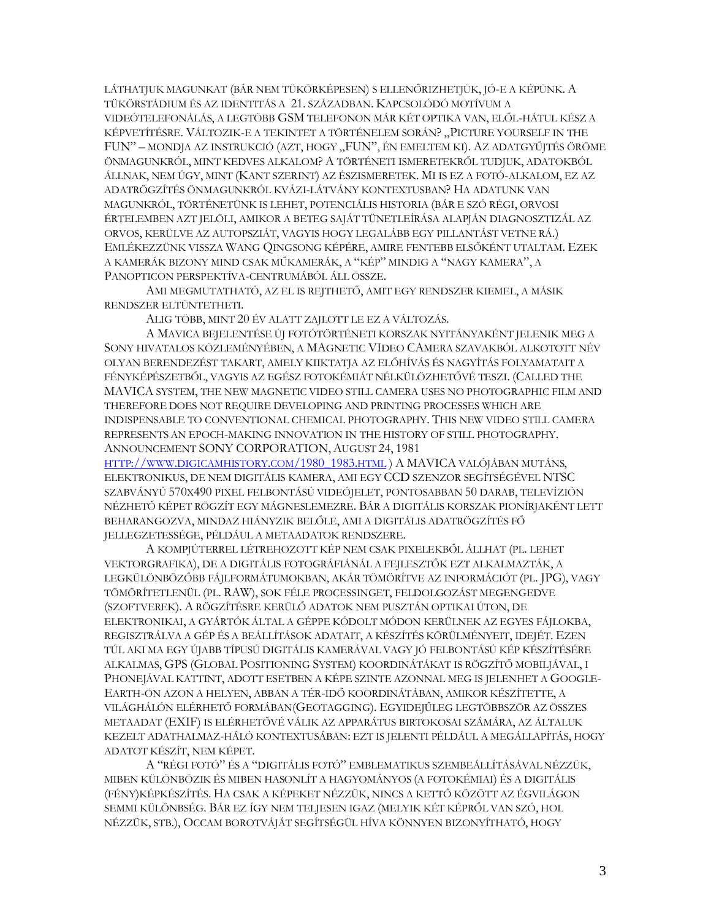LÁTHATJUK MAGUNKAT (BÁR NEM TÜKÖRKÉPESEN) S ELLENŐRIZHETJÜK, JÓ-E A KÉPÜNK. A TÜKÖRSTÁDIUM ÉS AZ IDENTITÁS A 21. SZÁZADBAN. KAPCSOLÓDÓ MOTÍVUM A VIDEÓTELEFONÁLÁS, A LEGTÖBB GSM TELEFONON MÁR KÉT OPTIKA VAN, ELŐL-HÁTUL KÉSZ A KÉPVETÍTÉSRE. VÁLTOZIK-E A TEKINTET A TÖRTÉNELEM SORÁN? "PICTURE YOURSELF IN THE FUN" – MONDJA AZ INSTRUKCIÓ (AZT, HOGY "FUN", ÉN EMELTEM KI). AZ ADATGYŰJTÉS ÖRÖME ÖNMAGUNKRÓL, MINT KEDVES ALKALOM? A TÖRTÉNETI ISMERETEKRŐL TUDJUK, ADATOKBÓL ÁLLNAK, NEM ÚGY, MINT (KANT SZERINT) AZ ÉSZISMERETEK. MI IS EZ A FOTÓ-ALKALOM, EZ AZ ADATRÖGZÍTÉS ÖNMAGUNKRÓL KVÁZI-LÁTVÁNY KONTEXTUSBAN? HA ADATUNK VAN MAGUNKRÓL, TÖRTÉNETÜNK IS LEHET, POTENCIÁLIS HISTORIA (BÁR E SZÓ RÉGI, ORVOSI ÉRTELEMBEN AZT JELÖLI, AMIKOR A BETEG SAJÁT TÜNETLEÍRÁSA ALAPJÁN DIAGNOSZTIZÁL AZ ORVOS, KERÜLVE AZ AUTOPSZIÁT, VAGYIS HOGY LEGALÁBB EGY PILLANTÁST VETNE RÁ.) EMLÉKEZZÜNK VISSZA WANG QINGSONG KÉPÉRE, AMIRE FENTEBB ELSŐKÉNT UTALTAM. EZEK A KAMERÁK BIZONY MIND CSAK MŰKAMERÁK, A "KÉP" MINDIG A "NAGY KAMERA", A PANOPTICON PERSPEKTÍVA-CENTRUMÁBÓL ÁLL ÖSSZE.

AMI MEGMUTATHATÓ, AZ EL IS REJTHETŐ, AMIT EGY RENDSZER KIEMEL, A MÁSIK RENDSZER ELTÜNTETHETI.

ALIG TÖBB, MINT 20 ÉV ALATT ZAJLOTT LE EZ A VÁLTOZÁS.

A MAVICA BEJELENTÉSE ÚJ FOTÓTÖRTÉNETI KORSZAK NYITÁNYAKÉNT JELENIK MEG A SONY HIVATALOS KÖZLEMÉNYÉBEN, A MAGNETIC VIDEO CAMERA SZAVAKBÓL ALKOTOTT NÉV OLYAN BERENDEZÉST TAKART, AMELY KIIKTATJA AZ ELŐHÍVÁS ÉS NAGYÍTÁS FOLYAMATAIT A FÉNYKÉPÉSZETBŐL, VAGYIS AZ EGÉSZ FOTOKÉMIÁT NÉLKÜLÖZHETŐVÉ TESZI. (CALLED THE MAVICA SYSTEM, THE NEW MAGNETIC VIDEO STILL CAMERA USES NO PHOTOGRAPHIC FILM AND THEREFORE DOES NOT REQUIRE DEVELOPING AND PRINTING PROCESSES WHICH ARE INDISPENSABLE TO CONVENTIONAL CHEMICAL PHOTOGRAPHY. THIS NEW VIDEO STILL CAMERA REPRESENTS AN EPOCH-MAKING INNOVATION IN THE HISTORY OF STILL PHOTOGRAPHY. ANNOUNCEMENT SONY CORPORATION,AUGUST 24, 1981

HTTP://WWW.DIGICAMHISTORY.COM/1980\_1983.HTML ) A MAVICA VALÓJÁBAN MUTÁNS, ELEKTRONIKUS, DE NEM DIGITÁLIS KAMERA, AMI EGY CCD SZENZOR SEGÍTSÉGÉVEL NTSC SZABVÁNYÚ 570X490 PIXEL FELBONTÁSÚ VIDEÓJELET, PONTOSABBAN 50 DARAB, TELEVÍZIÓN NÉZHETŐ KÉPET RÖGZÍT EGY MÁGNESLEMEZRE. BÁR A DIGITÁLIS KORSZAK PIONÍRJAKÉNT LETT BEHARANGOZVA, MINDAZ HIÁNYZIK BELŐLE, AMI A DIGITÁLIS ADATRÖGZÍTÉS FŐ JELLEGZETESSÉGE, PÉLDÁUL A METAADATOK RENDSZERE.

A KOMPJÚTERREL LÉTREHOZOTT KÉP NEM CSAK PIXELEKBŐL ÁLLHAT (PL. LEHET VEKTORGRAFIKA), DE A DIGITÁLIS FOTOGRÁFIÁNÁL A FEJLESZTŐK EZT ALKALMAZTÁK, A LEGKÜLÖNBÖZŐBB FÁJLFORMÁTUMOKBAN, AKÁR TÖMÖRÍTVE AZ INFORMÁCIÓT (PL. JPG), VAGY TÖMÖRÍTETLENÜL (PL. RAW), SOK FÉLE PROCESSINGET, FELDOLGOZÁST MEGENGEDVE (SZOFTVEREK). A RÖGZÍTÉSRE KERÜLŐ ADATOK NEM PUSZTÁN OPTIKAI ÚTON, DE ELEKTRONIKAI, A GYÁRTÓK ÁLTAL A GÉPPE KÓDOLT MÓDON KERÜLNEK AZ EGYES FÁJLOKBA, REGISZTRÁLVA A GÉP ÉS A BEÁLLÍTÁSOK ADATAIT, A KÉSZÍTÉS KÖRÜLMÉNYEIT, IDEJÉT. EZEN TÚL AKI MA EGY ÚJABB TÍPUSÚ DIGITÁLIS KAMERÁVAL VAGY JÓ FELBONTÁSÚ KÉP KÉSZÍTÉSÉRE ALKALMAS, GPS (GLOBAL POSITIONING SYSTEM) KOORDINÁTÁKAT IS RÖGZÍTŐ MOBILJÁVAL, I PHONEJÁVAL KATTINT, ADOTT ESETBEN A KÉPE SZINTE AZONNAL MEG IS JELENHET A GOOGLE-EARTH-ÖN AZON A HELYEN, ABBAN A TÉR-IDŐ KOORDINÁTÁBAN, AMIKOR KÉSZÍTETTE, A VILÁGHÁLÓN ELÉRHETŐ FORMÁBAN(GEOTAGGING). EGYIDEJŰLEG LEGTÖBBSZÖR AZ ÖSSZES METAADAT (EXIF) IS ELÉRHETŐVÉ VÁLIK AZ APPARÁTUS BIRTOKOSAI SZÁMÁRA, AZ ÁLTALUK KEZELT ADATHALMAZ-HÁLÓ KONTEXTUSÁBAN: EZT IS JELENTI PÉLDÁUL A MEGÁLLAPÍTÁS, HOGY ADATOT KÉSZÍT, NEM KÉPET.

A "RÉGI FOTÓ" ÉS A "DIGITÁLIS FOTÓ" EMBLEMATIKUS SZEMBEÁLLÍTÁSÁVAL NÉZZÜK, MIBEN KÜLÖNBÖZIK ÉS MIBEN HASONLÍT A HAGYOMÁNYOS (A FOTOKÉMIAI) ÉS A DIGITÁLIS (FÉNY)KÉPKÉSZÍTÉS. HA CSAK A KÉPEKET NÉZZÜK, NINCS A KETTŐ KÖZÖTT AZ ÉGVILÁGON SEMMI KÜLÖNBSÉG. BÁR EZ ÍGY NEM TELJESEN IGAZ (MELYIK KÉT KÉPRŐL VAN SZÓ, HOL NÉZZÜK, STB.), OCCAM BOROTVÁJÁT SEGÍTSÉGÜL HÍVA KÖNNYEN BIZONYÍTHATÓ, HOGY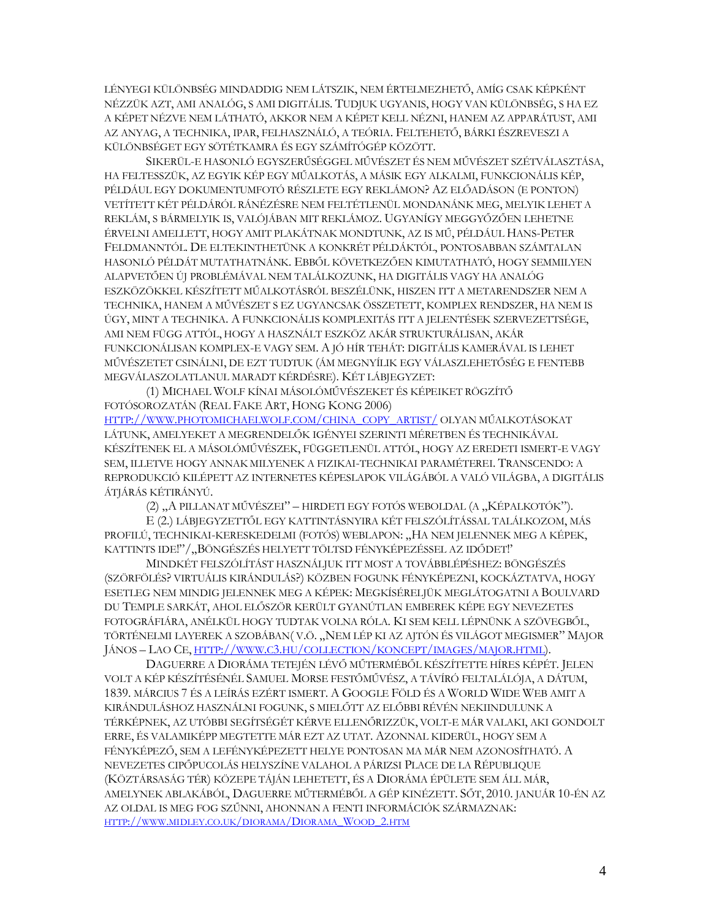LÉNYEGI KÜLÖNBSÉG MINDADDIG NEM LÁTSZIK, NEM ÉRTELMEZHETŐ, AMÍG CSAK KÉPKÉNT NÉZZÜK AZT, AMI ANALÓG, S AMI DIGITÁLIS. TUDJUK UGYANIS, HOGY VAN KÜLÖNBSÉG, S HA EZ A KÉPET NÉZVE NEM LÁTHATÓ, AKKOR NEM A KÉPET KELL NÉZNI, HANEM AZ APPARÁTUST, AMI AZ ANYAG, A TECHNIKA, IPAR, FELHASZNÁLÓ, A TEÓRIA. FELTEHETŐ, BÁRKI ÉSZREVESZI A KÜLÖNBSÉGET EGY SÖTÉTKAMRA ÉS EGY SZÁMÍTÓGÉP KÖZÖTT.

SIKERÜL-E HASONLÓ EGYSZERŰSÉGGEL MŰVÉSZET ÉS NEM MŰVÉSZET SZÉTVÁLASZTÁSA, HA FELTESSZÜK, AZ EGYIK KÉP EGY MŰALKOTÁS, A MÁSIK EGY ALKALMI, FUNKCIONÁLIS KÉP, PÉLDÁUL EGY DOKUMENTUMFOTÓ RÉSZLETE EGY REKLÁMON? AZ ELŐADÁSON (E PONTON) VETÍTETT KÉT PÉLDÁRÓL RÁNÉZÉSRE NEM FELTÉTLENÜL MONDANÁNK MEG, MELYIK LEHET A REKLÁM, S BÁRMELYIK IS, VALÓJÁBAN MIT REKLÁMOZ. UGYANÍGY MEGGYŐZŐEN LEHETNE ÉRVELNI AMELLETT, HOGY AMIT PLAKÁTNAK MONDTUNK, AZ IS MŰ, PÉLDÁUL HANS-PETER FELDMANNTÓL. DE ELTEKINTHETÜNK A KONKRÉT PÉLDÁKTÓL, PONTOSABBAN SZÁMTALAN HASONLÓ PÉLDÁT MUTATHATNÁNK. EBBŐL KÖVETKEZŐEN KIMUTATHATÓ, HOGY SEMMILYEN ALAPVETŐEN ÚJ PROBLÉMÁVAL NEM TALÁLKOZUNK, HA DIGITÁLIS VAGY HA ANALÓG ESZKÖZÖKKEL KÉSZÍTETT MŰALKOTÁSRÓL BESZÉLÜNK, HISZEN ITT A METARENDSZER NEM A TECHNIKA, HANEM A MŰVÉSZET S EZ UGYANCSAK ÖSSZETETT, KOMPLEX RENDSZER, HA NEM IS ÚGY, MINT A TECHNIKA. A FUNKCIONÁLIS KOMPLEXITÁS ITT A JELENTÉSEK SZERVEZETTSÉGE, AMI NEM FÜGG ATTÓL, HOGY A HASZNÁLT ESZKÖZ AKÁR STRUKTURÁLISAN, AKÁR FUNKCIONÁLISAN KOMPLEX-E VAGY SEM. A JÓ HÍR TEHÁT: DIGITÁLIS KAMERÁVAL IS LEHET MŰVÉSZETET CSINÁLNI, DE EZT TUDTUK (ÁM MEGNYÍLIK EGY VÁLASZLEHETŐSÉG E FENTEBB MEGVÁLASZOLATLANUL MARADT KÉRDÉSRE). KÉT LÁBJEGYZET:

(1) MICHAEL WOLF KÍNAI MÁSOLÓMŰVÉSZEKET ÉS KÉPEIKET RÖGZÍTŐ FOTÓSOROZATÁN (REAL FAKE ART, HONG KONG 2006)

HTTP://WWW.PHOTOMICHAELWOLF.COM/CHINA\_COPY\_ARTIST/ OLYAN MŰALKOTÁSOKAT LÁTUNK, AMELYEKET A MEGRENDELŐK IGÉNYEI SZERINTI MÉRETBEN ÉS TECHNIKÁVAL KÉSZÍTENEK EL A MÁSOLÓMŰVÉSZEK, FÜGGETLENÜL ATTÓL, HOGY AZ EREDETI ISMERT-E VAGY SEM, ILLETVE HOGY ANNAK MILYENEK A FIZIKAI-TECHNIKAI PARAMÉTEREI. TRANSCENDO: A REPRODUKCIÓ KILÉPETT AZ INTERNETES KÉPESLAPOK VILÁGÁBÓL A VALÓ VILÁGBA, A DIGITÁLIS ÁTJÁRÁS KÉTIRÁNYÚ.

(2) "A PILLANAT MŰVÉSZEI" – HIRDETI EGY FOTÓS WEBOLDAL (A "KÉPALKOTÓK").

E (2.) LÁBJEGYZETTŐL EGY KATTINTÁSNYIRA KÉT FELSZÓLÍTÁSSAL TALÁLKOZOM, MÁS PROFILÚ, TECHNIKAI-KERESKEDELMI (FOTÓS) WEBLAPON: "HA NEM JELENNEK MEG A KÉPEK, KATTINTS IDE!"/"BÖNGÉSZÉS HELYETT TÖLTSD FÉNYKÉPEZÉSSEL AZ IDŐDET!"

MINDKÉT FELSZÓLÍTÁST HASZNÁLJUK ITT MOST A TOVÁBBLÉPÉSHEZ: BÖNGÉSZÉS (SZÖRFÖLÉS? VIRTUÁLIS KIRÁNDULÁS?) KÖZBEN FOGUNK FÉNYKÉPEZNI, KOCKÁZTATVA, HOGY ESETLEG NEM MINDIG JELENNEK MEG A KÉPEK: MEGKÍSÉRELJÜK MEGLÁTOGATNI A BOULVARD DU TEMPLE SARKÁT, AHOL ELŐSZÖR KERÜLT GYANÚTLAN EMBEREK KÉPE EGY NEVEZETES FOTOGRÁFIÁRA, ANÉLKÜL HOGY TUDTAK VOLNA RÓLA. KI SEM KELL LÉPNÜNK A SZÖVEGBŐL, TÖRTÉNELMI LAYEREK A SZOBÁBAN( V.Ö. "NEM LÉP KI AZ AJTÓN ÉS VILÁGOT MEGISMER" MAJOR JÁNOS – LAO CE, HTTP://WWW.C3.HU/COLLECTION/KONCEPT/IMAGES/MAJOR.HTML).

DAGUERRE A DIORÁMA TETEJÉN LÉVŐ MŰTERMÉBŐL KÉSZÍTETTE HÍRES KÉPÉT. JELEN VOLT A KÉP KÉSZÍTÉSÉNÉL SAMUEL MORSE FESTŐMŰVÉSZ, A TÁVÍRÓ FELTALÁLÓJA, A DÁTUM, 1839. MÁRCIUS 7 ÉS A LEÍRÁS EZÉRT ISMERT. A GOOGLE FÖLD ÉS A WORLD WIDE WEB AMIT A KIRÁNDULÁSHOZ HASZNÁLNI FOGUNK, S MIELŐTT AZ ELŐBBI RÉVÉN NEKIINDULUNK A TÉRKÉPNEK, AZ UTÓBBI SEGÍTSÉGÉT KÉRVE ELLENŐRIZZÜK, VOLT-E MÁR VALAKI, AKI GONDOLT ERRE, ÉS VALAMIKÉPP MEGTETTE MÁR EZT AZ UTAT. AZONNAL KIDERÜL, HOGY SEM A FÉNYKÉPEZŐ, SEM A LEFÉNYKÉPEZETT HELYE PONTOSAN MA MÁR NEM AZONOSÍTHATÓ. A NEVEZETES CIPŐPUCOLÁS HELYSZÍNE VALAHOL A PÁRIZSI PLACE DE LA RÉPUBLIQUE (KÖZTÁRSASÁG TÉR) KÖZEPE TÁJÁN LEHETETT, ÉS A DIORÁMA ÉPÜLETE SEM ÁLL MÁR, AMELYNEK ABLAKÁBÓL, DAGUERRE MŰTERMÉBŐL A GÉP KINÉZETT. SŐT, 2010. JANUÁR 10-ÉN AZ AZ OLDAL IS MEG FOG SZŰNNI, AHONNAN A FENTI INFORMÁCIÓK SZÁRMAZNAK: HTTP://WWW.MIDLEY.CO.UK/DIORAMA/DIORAMA\_WOOD\_2.HTM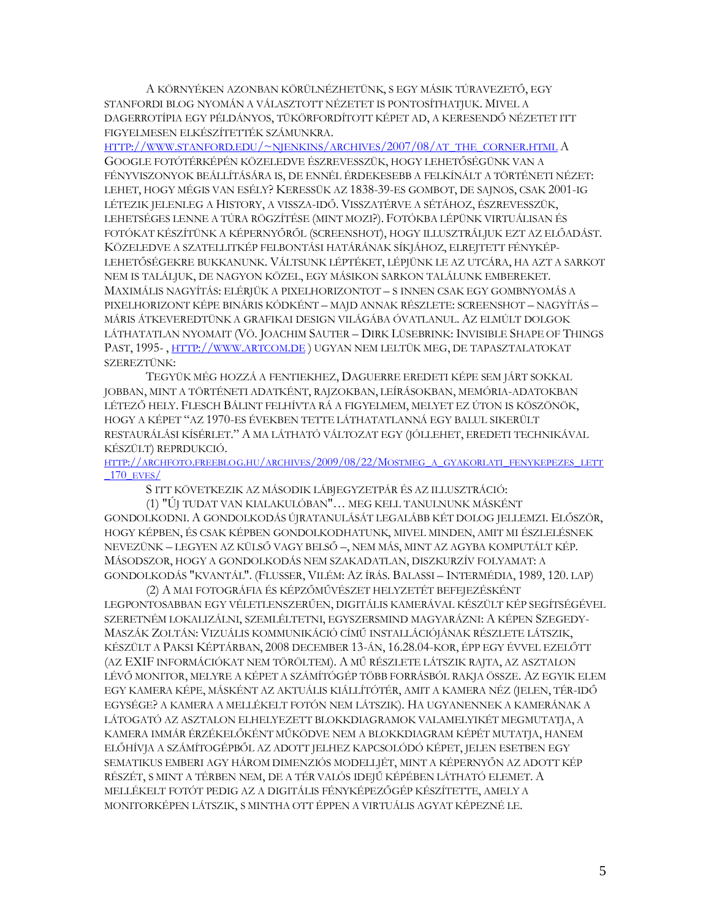A KÖRNYÉKEN AZONBAN KÖRÜLNÉZHETÜNK, S EGY MÁSIK TÚRAVEZETŐ, EGY STANFORDI BLOG NYOMÁN A VÁLASZTOTT NÉZETET IS PONTOSÍTHATJUK. MIVEL A DAGERROTÍPIA EGY PÉLDÁNYOS, TÜKÖRFORDÍTOTT KÉPET AD, A KERESENDŐ NÉZETET ITT FIGYELMESEN ELKÉSZÍTETTÉK SZÁMUNKRA.

HTTP://WWW.STANFORD.EDU/~NJENKINS/ARCHIVES/2007/08/AT\_THE\_CORNER.HTML A GOOGLE FOTÓTÉRKÉPÉN KÖZELEDVE ÉSZREVESSZÜK, HOGY LEHETŐSÉGÜNK VAN A FÉNYVISZONYOK BEÁLLÍTÁSÁRA IS, DE ENNÉL ÉRDEKESEBB A FELKÍNÁLT A TÖRTÉNETI NÉZET: LEHET, HOGY MÉGIS VAN ESÉLY? KERESSÜK AZ 1838-39-ES GOMBOT, DE SAJNOS, CSAK 2001-IG LÉTEZIK JELENLEG A HISTORY, A VISSZA-IDŐ. VISSZATÉRVE A SÉTÁHOZ, ÉSZREVESSZÜK, LEHETSÉGES LENNE A TÚRA RÖGZÍTÉSE (MINT MOZI?). FOTÓKBA LÉPÜNK VIRTUÁLISAN ÉS FOTÓKAT KÉSZÍTÜNK A KÉPERNYŐRŐL (SCREENSHOT), HOGY ILLUSZTRÁLJUK EZT AZ ELŐADÁST. KÖZELEDVE A SZATELLITKÉP FELBONTÁSI HATÁRÁNAK SÍKJÁHOZ, ELREJTETT FÉNYKÉP-LEHETŐSÉGEKRE BUKKANUNK. VÁLTSUNK LÉPTÉKET, LÉPJÜNK LE AZ UTCÁRA, HA AZT A SARKOT NEM IS TALÁLJUK, DE NAGYON KÖZEL, EGY MÁSIKON SARKON TALÁLUNK EMBEREKET. MAXIMÁLIS NAGYÍTÁS: ELÉRJÜK A PIXELHORIZONTOT – S INNEN CSAK EGY GOMBNYOMÁS A PIXELHORIZONT KÉPE BINÁRIS KÓDKÉNT – MAJD ANNAK RÉSZLETE: SCREENSHOT – NAGYÍTÁS – MÁRIS ÁTKEVEREDTÜNK A GRAFIKAI DESIGN VILÁGÁBA ÓVATLANUL. AZ ELMÚLT DOLGOK LÁTHATATLAN NYOMAIT (VÖ. JOACHIM SAUTER – DIRK LÜSEBRINK: INVISIBLE SHAPE OF THINGS PAST, 1995- , HTTP://WWW.ARTCOM.DE ) UGYAN NEM LELTÜK MEG, DE TAPASZTALATOKAT SZEREZTÜNK:

TEGYÜK MÉG HOZZÁ A FENTIEKHEZ, DAGUERRE EREDETI KÉPE SEM JÁRT SOKKAL JOBBAN, MINT A TÖRTÉNETI ADATKÉNT, RAJZOKBAN, LEÍRÁSOKBAN, MEMÓRIA-ADATOKBAN LÉTEZŐ HELY. FLESCH BÁLINT FELHÍVTA RÁ A FIGYELMEM, MELYET EZ ÚTON IS KÖSZÖNÖK, HOGY A KÉPET "AZ 1970-ES ÉVEKBEN TETTE LÁTHATATLANNÁ EGY BALUL SIKERÜLT RESTAURÁLÁSI KÍSÉRLET." A MA LÁTHATÓ VÁLTOZAT EGY (JÓLLEHET, EREDETI TECHNIKÁVAL KÉSZÜLT) REPRDUKCIÓ.

HTTP://ARCHFOTO.FREEBLOG.HU/ARCHIVES/2009/08/22/MOSTMEG\_A\_GYAKORLATI\_FENYKEPEZES\_LETT \_170\_EVES/

S ITT KÖVETKEZIK AZ MÁSODIK LÁBJEGYZETPÁR ÉS AZ ILLUSZTRÁCIÓ:

(1) "ÚJ TUDAT VAN KIALAKULÓBAN"… MEG KELL TANULNUNK MÁSKÉNT GONDOLKODNI. A GONDOLKODÁS ÚJRATANULÁSÁT LEGALÁBB KÉT DOLOG JELLEMZI. ELŐSZÖR, HOGY KÉPBEN, ÉS CSAK KÉPBEN GONDOLKODHATUNK, MIVEL MINDEN, AMIT MI ÉSZLELÉSNEK NEVEZÜNK – LEGYEN AZ KÜLSŐ VAGY BELSŐ –, NEM MÁS, MINT AZ AGYBA KOMPUTÁLT KÉP. MÁSODSZOR, HOGY A GONDOLKODÁS NEM SZAKADATLAN, DISZKURZÍV FOLYAMAT: A GONDOLKODÁS "KVANTÁL". (FLUSSER, VILÉM: AZ ÍRÁS. BALASSI – INTERMÉDIA, 1989, 120. LAP)

(2) A MAI FOTOGRÁFIA ÉS KÉPZŐMŰVÉSZET HELYZETÉT BEFEJEZÉSKÉNT LEGPONTOSABBAN EGY VÉLETLENSZERŰEN, DIGITÁLIS KAMERÁVAL KÉSZÜLT KÉP SEGÍTSÉGÉVEL SZERETNÉM LOKALIZÁLNI, SZEMLÉLTETNI, EGYSZERSMIND MAGYARÁZNI: A KÉPEN SZEGEDY-MASZÁK ZOLTÁN: VIZUÁLIS KOMMUNIKÁCIÓ CÍMŰ INSTALLÁCIÓJÁNAK RÉSZLETE LÁTSZIK, KÉSZÜLT A PAKSI KÉPTÁRBAN, 2008 DECEMBER 13-ÁN, 16.28.04-KOR, ÉPP EGY ÉVVEL EZELŐTT (AZ EXIF INFORMÁCIÓKAT NEM TÖRÖLTEM). A MŰ RÉSZLETE LÁTSZIK RAJTA, AZ ASZTALON LÉVŐ MONITOR, MELYRE A KÉPET A SZÁMÍTÓGÉP TÖBB FORRÁSBÓL RAKJA ÖSSZE. AZ EGYIK ELEM EGY KAMERA KÉPE, MÁSKÉNT AZ AKTUÁLIS KIÁLLÍTÓTÉR, AMIT A KAMERA NÉZ (JELEN, TÉR-IDŐ EGYSÉGE? A KAMERA A MELLÉKELT FOTÓN NEM LÁTSZIK). HA UGYANENNEK A KAMERÁNAK A LÁTOGATÓ AZ ASZTALON ELHELYEZETT BLOKKDIAGRAMOK VALAMELYIKÉT MEGMUTATJA, A KAMERA IMMÁR ÉRZÉKELŐKÉNT MŰKÖDVE NEM A BLOKKDIAGRAM KÉPÉT MUTATJA, HANEM ELŐHÍVJA A SZÁMÍTOGÉPBŐL AZ ADOTT JELHEZ KAPCSOLÓDÓ KÉPET, JELEN ESETBEN EGY SEMATIKUS EMBERI AGY HÁROM DIMENZIÓS MODELLJÉT, MINT A KÉPERNYŐN AZ ADOTT KÉP RÉSZÉT, S MINT A TÉRBEN NEM, DE A TÉR VALÓS IDEJŰ KÉPÉBEN LÁTHATÓ ELEMET. A MELLÉKELT FOTÓT PEDIG AZ A DIGITÁLIS FÉNYKÉPEZŐGÉP KÉSZÍTETTE, AMELY A MONITORKÉPEN LÁTSZIK, S MINTHA OTT ÉPPEN A VIRTUÁLIS AGYAT KÉPEZNÉ LE.